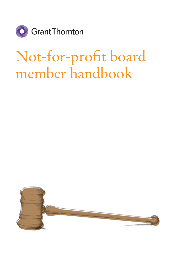

# Not-for-profit board member handbook

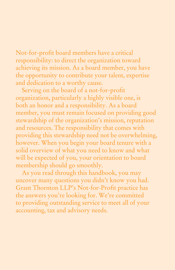Not-for-profit board members have a critical responsibility: to direct the organization toward achieving its mission. As a board member, you have the opportunity to contribute your talent, expertise and dedication to a worthy cause.

Serving on the board of a not-for-profit organization, particularly a highly visible one, is both an honor and a responsibility. As a board member, you must remain focused on providing good stewardship of the organization's mission, reputation and resources. The responsibility that comes with providing this stewardship need not be overwhelming, however. When you begin your board tenure with a solid overview of what you need to know and what will be expected of you, your orientation to board membership should go smoothly.

 As you read through this handbook, you may uncover many questions you didn't know you had. Grant Thornton LLP's Not-for-Profit practice has the answers you're looking for. We're committed to providing outstanding service to meet all of your accounting, tax and advisory needs.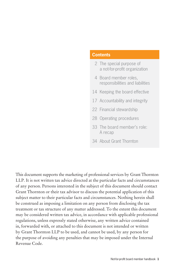### **Contents**

- 2 The special purpose of a not-for-profit organization
- 4 Board member roles, responsibilities and liabilities
- 14 Keeping the board effective
- 17 Accountability and integrity
- 22 Financial stewardship
- 28 Operating procedures
- 33 The board member's role: A recap
- 34 About Grant Thornton

This document supports the marketing of professional services by Grant Thornton LLP. It is not written tax advice directed at the particular facts and circumstances of any person. Persons interested in the subject of this document should contact Grant Thornton or their tax advisor to discuss the potential application of this subject matter to their particular facts and circumstances. Nothing herein shall be construed as imposing a limitation on any person from disclosing the tax treatment or tax structure of any matter addressed. To the extent this document may be considered written tax advice, in accordance with applicable professional regulations, unless expressly stated otherwise, any written advice contained in, forwarded with, or attached to this document is not intended or written by Grant Thornton LLP to be used, and cannot be used, by any person for the purpose of avoiding any penalties that may be imposed under the Internal Revenue Code.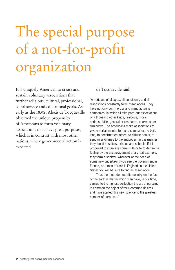# The special purpose of a not-for-profit organization

It is uniquely American to create and sustain voluntary associations that further religious, cultural, professional, social service and educational goals. As early as the 1830s, Alexis de Tocqueville observed the unique propensity of Americans to form voluntary associations to achieve great purposes, which is in contrast with most other nations, where governmental action is expected.

de Tocqueville said:

"Americans of all ages, all conditions, and all dispositions constantly form associations. They have not only commercial and manufacturing companies, in which all take part, but associations of a thousand other kinds, religious, moral, serious, futile, general or restricted, enormous or diminutive. The Americans make associations to give entertainments, to found seminaries, to build inns, to construct churches, to diffuse books, to send missionaries to the antipodes; in this manner they found hospitals, prisons and schools. If it is proposed to inculcate some truth or to foster some feeling by the encouragement of a great example, they form a society. Wherever at the head of some new undertaking you see the government in France, or a man of rank in England, in the United States you will be sure to find an association.

 Thus the most democratic country on the face of the earth is that in which men have, in our time, carried to the highest perfection the art of pursuing in common the object of their common desires and have applied this new science to the greatest number of purposes."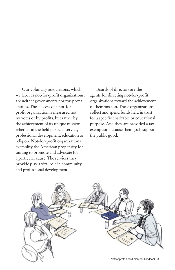Our voluntary associations, which we label as not-for-profit organizations, are neither governments nor for-profit entities. The success of a not-forprofit organization is measured not by votes or by profits, but rather by the achievement of its unique mission, whether in the field of social service, professional development, education or religion. Not-for-profit organizations exemplify the American propensity for uniting to promote and advocate for a particular cause. The services they provide play a vital role in community and professional development.

 Boards of directors are the agents for directing not-for-profit organizations toward the achievement of their mission. These organizations collect and spend funds held in trust for a specific charitable or educational purpose. And they are provided a tax exemption because their goals support the public good.

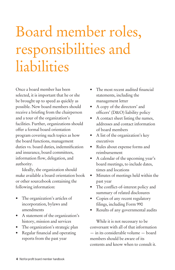# Board member roles, responsibilities and liabilities

Once a board member has been selected, it is important that he or she be brought up to speed as quickly as possible. New board members should receive a briefing from the chairperson and a tour of the organization's facilities. Further, organizations should offer a formal board orientation program covering such topics as how the board functions, management duties vs. board duties, indemnification and insurance, board committees, information flow, delegation, and authority.

 Ideally, the organization should make available a board orientation book or other sourcebook containing the following information:

- The organization's articles of incorporation, bylaws and amendments
- A statement of the organization's history, mission and services
- The organization's strategic plan
- Regular financial and operating reports from the past year
- The most recent audited financial statements, including the management letter
- A copy of the directors' and officers' (D&O) liability policy
- A contact sheet listing the names, addresses and contact information of board members
- A list of the organization's key executives
- Rules about expense forms and reimbursement
- A calendar of the upcoming year's board meetings, to include dates, times and locations
- Minutes of meetings held within the past year
- The conflict-of-interest policy and summary of related disclosures
- Copies of any recent regulatory filings, including Form 990
- Results of any governmental audits

 While it is not necessary to be conversant with all of that information — in its considerable volume — board members should be aware of its contents and know when to consult it.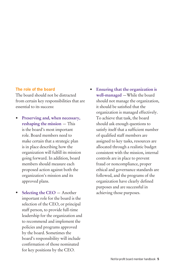#### **The role of the board**

The board should not be distracted from certain key responsibilities that are essential to its success:

- **Preserving and, when necessary, reshaping the mission** — This is the board's most important role. Board members need to make certain that a strategic plan is in place describing how the organization will fulfill its mission going forward. In addition, board members should measure each proposed action against both the organization's mission and its approved plans.
- **Selecting the CEO** Another important role for the board is the selection of the CEO, or principal staff person, to provide full-time leadership for the organization and to recommend and implement the policies and programs approved by the board. Sometimes the board's responsibility will include confirmation of those nominated for key positions by the CEO.
- **Ensuring that the organization is well-managed** —While the board should not manage the organization, it should be satisfied that the organization is managed effectively. To achieve that task, the board should ask enough questions to satisfy itself that a sufficient number of qualified staff members are assigned to key tasks, resources are allocated through a realistic budget consistent with the mission, internal controls are in place to prevent fraud or noncompliance, proper ethical and governance standards are followed, and the programs of the organization have clearly defined purposes and are successful in achieving those purposes.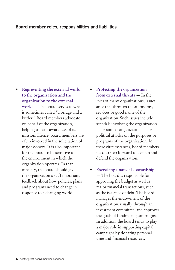- **Representing the external world to the organization and the organization to the external world** — The board serves as what is sometimes called "a bridge and a buffer." Board members advocate on behalf of the organization, helping to raise awareness of its mission. Hence, board members are often involved in the solicitation of major donors. It is also important for the board to be sensitive to the environment in which the organization operates. In that capacity, the board should give the organization's staff important feedback about how policies, plans and programs need to change in response to a changing world.
- **Protecting the organization from external threats** — In the lives of many organizations, issues arise that threaten the autonomy, services or good name of the organization. Such issues include scandals involving the organization — or similar organizations — or political attacks on the purposes or programs of the organization. In these circumstances, board members need to step forward to explain and defend the organization.
- **Exercising financial stewardship** — The board is responsible for approving the budget as well as major financial transactions, such as the issuance of debt. The board manages the endowment of the organization, usually through an investment committee, and approves the goals of fundraising campaigns. In addition, the board tends to play a major role in supporting capital campaigns by donating personal time and financial resources.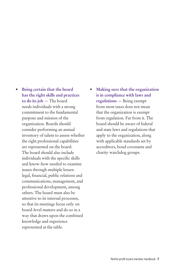- **Being certain that the board has the right skills and practices to do its job** — The board needs individuals with a strong commitment to the fundamental purpose and mission of the organization. Boards should consider performing an annual inventory of talent to assess whether the right professional capabilities are represented on the board. The board should also include individuals with the specific skills and know-how needed to examine issues through multiple lenses: legal, financial, public relations and communications, management, and professional development, among others. The board must also be attentive to its internal processes, so that its meetings focus only on board-level matters and do so in a way that draws upon the combined knowledge and experience represented at the table.
- **Making sure that the organization is in compliance with laws and regulations** — Being exempt from most taxes does not mean that the organization is exempt from regulation. Far from it. The board should be aware of federal and state laws and regulations that apply to the organization, along with applicable standards set by accreditors, bond covenants and charity watchdog groups.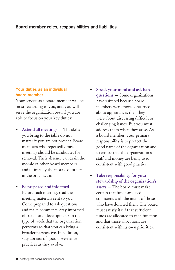# **Your duties as an individual board member**

Your service as a board member will be most rewarding to you, and you will serve the organization best, if you are able to focus on your key duties:

- **Attend all meetings** The skills you bring to the table do not matter if you are not present. Board members who repeatedly miss meetings should be candidates for removal. Their absence can drain the morale of other board members and ultimately the morale of others in the organization.
- **Be prepared and informed** Before each meeting, read the meeting materials sent to you. Come prepared to ask questions and make comments. Stay informed of trends and developments in the type of work that the organization performs so that you can bring a broader perspective. In addition, stay abreast of good governance practices as they evolve.
- **Speak your mind and ask hard questions** — Some organizations have suffered because board members were more concerned about appearances than they were about discussing difficult or challenging issues. But you must address them when they arise. As a board member, your primary responsibility is to protect the good name of the organization and to ensure that the organization's staff and money are being used consistent with good practice.
- **Take responsibility for your stewardship of the organization's assets** — The board must make certain that funds are used consistent with the intent of those who have donated them. The board must satisfy itself that sufficient funds are allocated to each function and that those allocations are consistent with its own priorities.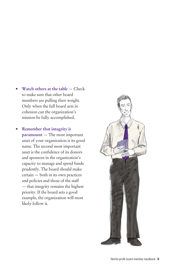- **Watch others at the table** Check to make sure that other board members are pulling their weight. Only when the full board acts in cohesion can the organization's mission be fully accomplished.
- **Remember that integrity is paramount** — The most important asset of your organization is its good name. The second most important asset is the confidence of its donors and sponsors in the organization's capacity to manage and spend funds prudently. The board should make certain — both in its own practices and policies and those of the staff — that integrity remains the highest priority. If the board sets a good example, the organization will most likely follow it.

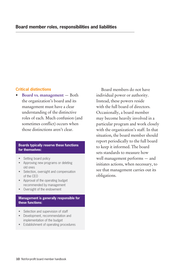## **Critical distinctions**

• **Board vs. management** — Both the organization's board and its management must have a clear understanding of the distinctive roles of each. Much confusion (and sometimes conflict) occurs when those distinctions aren't clear.

#### **Boards typically reserve these functions for themselves:**

• Setting board policy

j

- Approving new programs or deleting old ones
- Selection, oversight and compensation of the CEO
- Approval of the operating budget recommended by management
- Oversight of the endowment

#### **Management is generally responsible for these functions:**

- Selection and supervision of staff
- Development, recommendation and implementation of the budget
- Establishment of operating procedures

 Board members do not have individual power or authority. Instead, these powers reside with the full board of directors. Occasionally, a board member may become heavily involved in a particular program and work closely with the organization's staff. In that situation, the board member should report periodically to the full board to keep it informed. The board sets standards to measure how well management performs — and initiates actions, when necessary, to see that management carries out its obligations.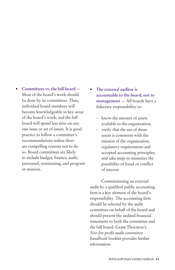- **Committees vs. the full board** Most of the board's work should be done by its committees. Thus, individual board members will become knowledgeable in key areas of the board's work, and the full board will spend less time on any one issue or set of issues. It is good practice to follow a committee's recommendations unless there are compelling reasons not to do so. Board committees are likely to include budget, finance, audit, personnel, nominating, and program or mission.
- **The external auditor is accountable to the board, not to management** — All boards have a fiduciary responsibility to:
	- know the amount of assets available to the organization;
	- verify that the use of those assets is consistent with the mission of the organization, regulatory requirements and accepted accounting principles; and take steps to minimize the possibility of fraud or conflict of interest

 Commissioning an external audit by a qualified public accounting firm is a key element of the board's responsibility. The accounting firm should be selected by the audit committee on behalf of the board and should present the audited financial statements to both the committee and the full board. Grant Thornton's *Not-for-profi t audit committee handbook* booklet provides further information.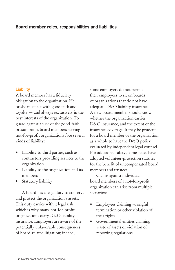## **Liability**

A board member has a fiduciary obligation to the organization. He or she must act with good faith and loyalty — and always exclusively in the best interests of the organization. To guard against abuse of the good-faith presumption, board members serving not-for-profit organizations face several kinds of liability:

- Liability to third parties, such as contractors providing services to the organization
- Liability to the organization and its members
- Statutory liability

 A board has a legal duty to conserve and protect the organization's assets. This duty carries with it legal risk, which is why many not-for-profit organizations carry D&O liability insurance. Employers are aware of the potentially unfavorable consequences of board-related litigation; indeed,

some employers do not permit their employees to sit on boards of organizations that do not have adequate D&O liability insurance. A new board member should know whether the organization carries D&O insurance, and the extent of the insurance coverage. It may be prudent for a board member or the organization as a whole to have the D&O policy evaluated by independent legal counsel. For additional safety, some states have adopted volunteer-protection statutes for the benefit of uncompensated board members and trustees.

 Claims against individual board members of a not-for-profit organization can arise from multiple scenarios:

- Employees claiming wrongful termination or other violation of their rights
- Governmental entities claiming waste of assets or violation of reporting regulations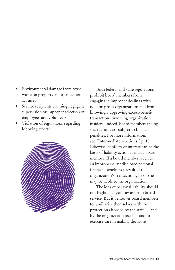- Environmental damage from toxic waste on property an organization acquires
- Service recipients claiming negligent supervision or improper selection of employees and volunteers
- Violation of regulations regarding lobbying efforts



 Both federal and state regulations prohibit board members from engaging in improper dealings with not-for-profit organizations and from knowingly approving excess-benefit transactions involving organization insiders. Indeed, board members taking such actions are subject to financial penalties. For more information, see "Intermediate sanctions," p. 18. Likewise, conflicts of interest can be the basis of liability action against a board member. If a board member receives an improper or undisclosed personal financial benefit as a result of the organization's transactions, he or she may be liable to the organization.

 The idea of personal liability should not frighten anyone away from board service. But it behooves board members to familiarize themselves with the protection afforded by the state — and by the organization itself — and to exercise care in making decisions.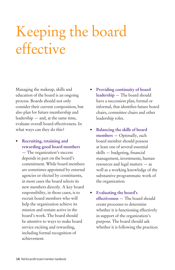# Keeping the board effective

Managing the makeup, skills and education of the board is an ongoing process. Boards should not only consider their current composition, but also plan for future membership and leadership — and, at the same time, evaluate overall board effectiveness. In what ways can they do this?

• **Recruiting, retaining and rewarding good board members**

— The organization's success depends in part on the board's commitment. While board members are sometimes appointed by external agencies or elected by constituents, in most cases the board selects its new members directly. A key board responsibility, in those cases, is to recruit board members who will help the organization achieve its mission and remain active in the board's work. The board should be attentive to ways to make board service exciting and rewarding, including formal recognition of achievement.

- **Providing continuity of board leadership** — The board should have a succession plan, formal or informal, that identifies future board chairs, committee chairs and other leadership roles.
- **Balancing the skills of board members** — Optimally, each board member should possess at least one of several essential  $skills - budgeting, financial$ management, investments, human resources and legal matters — as well as a working knowledge of the substantive programmatic work of the organization.
- **Evaluating the board's effectiveness** — The board should create processes to determine whether it is functioning effectively in support of the organization's purpose. The board should ask whether it is following the practices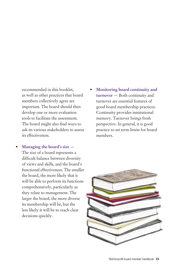recommended in this booklet, as well as other practices that board members collectively agree are important. The board should then develop one or more evaluation tools to facilitate the assessment. The board might also find ways to ask its various stakeholders to assess its effectiveness.

- **Managing the board's size**  The size of a board represents a difficult balance between diversity of views and skills, and the board's functional effectiveness. The smaller the board, the more likely that it will be able to perform its functions comprehensively, particularly as they relate to management. The larger the board, the more diverse its membership will be, but the less likely it will be to reach clear decisions quickly.
- **Monitoring board continuity and turnover** — Both continuity and turnover are essential features of good board membership practices. Continuity provides institutional memory. Turnover brings fresh perspective. In general, it is good practice to set term limits for board members.

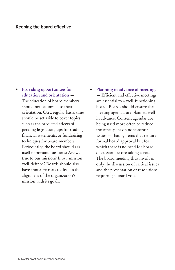• **Providing opportunities for education and orientation** — The education of board members

should not be limited to their orientation. On a regular basis, time should be set aside to cover topics such as the predicted effects of pending legislation, tips for reading financial statements, or fundraising techniques for board members. Periodically, the board should ask itself important questions: Are we true to our mission? Is our mission well-defined? Boards should also have annual retreats to discuss the alignment of the organization's mission with its goals.

• **Planning in advance of meetings** — Efficient and effective meetings are essential to a well-functioning board. Boards should ensure that meeting agendas are planned well in advance. Consent agendas are being used more often to reduce the time spent on nonessential issues — that is, items that require formal board approval but for which there is no need for board discussion before taking a vote. The board meeting thus involves only the discussion of critical issues and the presentation of resolutions requiring a board vote.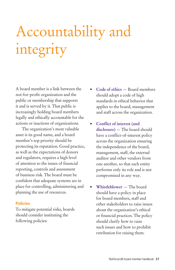# Accountability and integrity

A board member is a link between the not-for-profi t organization and the public or membership that supports it and is served by it. That public is increasingly holding board members legally and ethically accountable for the actions or inactions of organizations.

 The organization's most valuable asset is its good name, and a board member's top priority should be protecting its reputation. Good practice, as well as the expectations of donors and regulators, requires a high level of attention to the issues of financial reporting, controls and assessment of business risk. The board must be confident that adequate systems are in place for controlling, administering and planning the use of resources.

#### **Policies**

To mitigate potential risks, boards should consider instituting the following policies:

- **Code of ethics** Board members should adopt a code of high standards in ethical behavior that applies to the board, management and staff across the organization.
- **Conflict of interest (and disclosure)** — The board should have a conflict-of-interest policy across the organization ensuring the independence of the board, management, staff, the external auditor and other vendors from one another, so that each entity performs only its role and is not compromised in any way.
- **Whistleblower** The board should have a policy in place for board members, staff and other stakeholders to raise issues about the organization's ethical or financial practices. The policy should clarify how to raise such issues and how to prohibit retribution for raising them.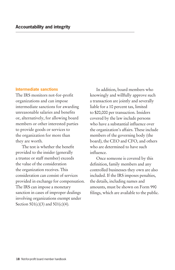#### **Intermediate sanctions**

The IRS monitors not-for-profit organizations and can impose intermediate sanctions for awarding unreasonable salaries and benefits or, alternatively, for allowing board members or other interested parties to provide goods or services to the organization for more than they are worth.

The test is whether the benefit provided to the insider (generally a trustee or staff member) exceeds the value of the consideration the organization receives. This consideration can consist of services provided in exchange for compensation. The IRS can impose a monetary sanction in cases of improper dealings involving organizations exempt under Section  $501(c)(3)$  and  $501(c)(4)$ .

 In addition, board members who knowingly and willfully approve such a transaction are jointly and severally liable for a 10 percent tax, limited to \$20,000 per transaction. Insiders covered by the law include persons who have a substantial influence over the organization's affairs. These include members of the governing body (the board), the CEO and CFO, and others who are determined to have such influence

 Once someone is covered by this definition, family members and any controlled businesses they own are also included. If the IRS imposes penalties, the details, including names and amounts, must be shown on Form 990 filings, which are available to the public.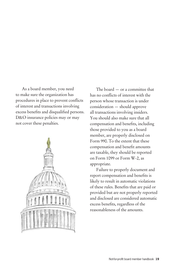As a board member, you need to make sure the organization has procedures in place to prevent conflicts of interest and transactions involving excess benefits and disqualified persons. D&O insurance policies may or may not cover these penalties.



 The board — or a committee that has no conflicts of interest with the person whose transaction is under consideration — should approve all transactions involving insiders. You should also make sure that all compensation and benefits, including those provided to you as a board member, are properly disclosed on Form 990. To the extent that these compensation and benefit amounts are taxable, they should be reported on Form 1099 or Form W-2, as appropriate.

 Failure to properly document and report compensation and benefits is likely to result in automatic violations of these rules. Benefits that are paid or provided but are not properly reported and disclosed are considered automatic excess benefits, regardless of the reasonableness of the amounts.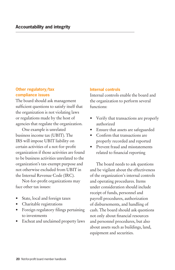# **Other regulatory/tax compliance issues**

The board should ask management sufficient questions to satisfy itself that the organization is not violating laws or regulations made by the host of agencies that regulate the organization.

 One example is unrelated business income tax (UBIT). The IRS will impose UBIT liability on certain activities of a not-for-profit organization if those activities are found to be business activities unrelated to the organization's tax-exempt purpose and not otherwise excluded from UBIT in the Internal Revenue Code (IRC).

Not-for-profit organizations may face other tax issues:

- State, local and foreign taxes
- Charitable registrations
- Foreign regulatory filings pertaining to investments
- Escheat and unclaimed property laws

## **Internal controls**

Internal controls enable the board and the organization to perform several functions:

- Verify that transactions are properly authorized
- Ensure that assets are safeguarded
- Confirm that transactions are properly recorded and reported
- Prevent fraud and misstatements related to financial reporting

 The board needs to ask questions and be vigilant about the effectiveness of the organization's internal controls and operating procedures. Items under consideration should include receipt of funds, personnel and payroll procedures, authorization of disbursements, and handling of cash. The board should ask questions not only about financial resources and personnel procedures, but also about assets such as buildings, land, equipment and securities.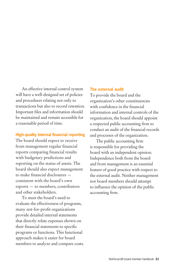An effective internal control system will have a well-designed set of policies and procedures relating not only to transactions but also to record retention. Important files and information should be maintained and remain accessible for a reasonable period of time.

#### **High-quality internal financial reporting**

The board should expect to receive from management regular financial reports comparing financial results with budgetary predictions and reporting on the status of assets. The board should also expect management to make financial disclosures consistent with the board's own reports — to members, contributors and other stakeholders.

 To meet the board's need to evaluate the effectiveness of programs, many not-for-profit organizations provide detailed internal statements that directly relate expenses shown on their financial statements to specific programs or functions. This functional approach makes it easier for board members to analyze and compare costs.

#### **The external audit**

To provide the board and the organization's other constituencies with confidence in the financial information and internal controls of the organization, the board should appoint a respected public accounting firm to conduct an audit of the financial records and processes of the organization.

The public accounting firm is responsible for providing the board with an independent opinion. Independence both from the board and from management is an essential feature of good practice with respect to the external audit. Neither management nor board members should attempt to influence the opinion of the public accounting firm.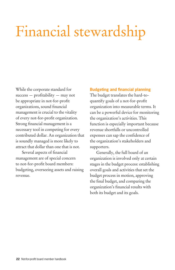# Financial stewardship

While the corporate standard for  $success$  — profitability — may not be appropriate in not-for-profit organizations, sound financial management is crucial to the vitality of every not-for-profit organization. Strong financial management is a necessary tool in competing for every contributed dollar. An organization that is soundly managed is more likely to attract that dollar than one that is not.

Several aspects of financial management are of special concern to not-for-profit board members: budgeting, overseeing assets and raising revenue.

#### **Budgeting and financial planning**

The budget translates the hard-toquantify goals of a not-for-profit organization into measurable terms. It can be a powerful device for monitoring the organization's activities. This function is especially important because revenue shortfalls or uncontrolled expenses can sap the confidence of the organization's stakeholders and supporters.

 Generally, the full board of an organization is involved only at certain stages in the budget process: establishing overall goals and activities that set the budget process in motion, approving the final budget, and comparing the organization's financial results with both its budget and its goals.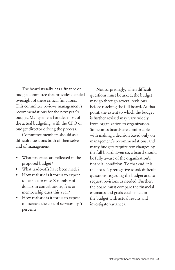The board usually has a finance or budget committee that provides detailed oversight of these critical functions. This committee reviews management's recommendations for the next year's budget. Management handles most of the actual budgeting, with the CFO or budget director driving the process.

 Committee members should ask difficult questions both of themselves and of management:

- What priorities are reflected in the proposed budget?
- What trade-offs have been made?
- How realistic is it for us to expect to be able to raise X number of dollars in contributions, fees or membership dues this year?
- How realistic is it for us to expect to increase the cost of services by Y percent?

Not surprisingly, when difficult questions must be asked, the budget may go through several revisions before reaching the full board. At that point, the extent to which the budget is further revised may vary widely from organization to organization. Sometimes boards are comfortable with making a decision based only on management's recommendations, and many budgets require few changes by the full board. Even so, a board should be fully aware of the organization's financial condition. To that end, it is the board's prerogative to ask difficult questions regarding the budget and to request revisions as needed. Further, the board must compare the financial estimates and goals established in the budget with actual results and investigate variances.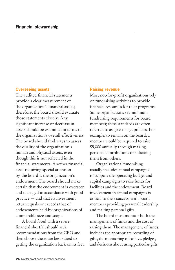#### **Overseeing assets**

The audited financial statements provide a clear measurement of the organization's financial assets; therefore, the board should evaluate those statements closely. Any significant increase or decrease in assets should be examined in terms of the organization's overall effectiveness. The board should find ways to assess the quality of the organization's human and physical assets, even though this is not reflected in the financial statements. Another financial asset requiring special attention by the board is the organization's endowment. The board should make certain that the endowment is overseen and managed in accordance with good practice — and that its investment return equals or exceeds that of endowments held by organizations of comparable size and scope.

 A board faced with a severe fi nancial shortfall should seek recommendations from the CEO and then choose the route best suited to getting the organization back on its feet.

#### **Raising revenue**

Most not-for-profit organizations rely on fundraising activities to provide financial resources for their programs. Some organizations set minimum fundraising requirements for board members; these standards are often referred to as give-or-get policies. For example, to remain on the board, a member would be required to raise \$5,000 annually through making personal contributions or soliciting them from others.

 Organizational fundraising usually includes annual campaigns to support the operating budget and capital campaigns to raise funds for facilities and the endowment. Board involvement in capital campaigns is critical to their success, with board members providing personal leadership and making personal gifts.

 The board must monitor both the management of funds and the cost of raising them. The management of funds includes the appropriate recording of gifts, the monitoring of cash vs. pledges, and decisions about using particular gifts.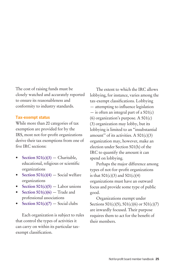The cost of raising funds must be closely watched and accurately reported to ensure its reasonableness and conformity to industry standards.

#### **Tax-exempt status**

While more than 20 categories of tax exemption are provided for by the IRS, most not-for-profit organizations derive their tax exemptions from one of five IRC sections:

- **Section 501(c)(3)** Charitable, educational, religious or scientific organizations
- **Section 501(c)(4)** Social welfare organizations
- **Section 501(c)(5)**  $-$  Labor unions
- **Section 501(c)(6)**  $-$  Trade and professional associations
- **Section 501(c)(7)** Social clubs

 Each organization is subject to rules that control the types of activities it can carry on within its particular taxexempt classification.

 The extent to which the IRC allows lobbying, for instance, varies among the tax-exempt classifications. Lobbying  $-$  attempting to influence legislation  $-$  is often an integral part of a 501(c) (6) organization's purpose. A 501(c) (3) organization may lobby, but its lobbying is limited to an "insubstantial amount" of its activities. A  $501(c)(3)$ organization may, however, make an election under Section 501(h) of the IRC to quantify the amount it can spend on lobbying.

 Perhaps the major difference among types of not-for-profit organizations is that  $501(c)(3)$  and  $501(c)(4)$ organizations must have an outward focus and provide some type of public good.

 Organizations exempt under Sections  $501(c)(5)$ ,  $501(c)(6)$  or  $501(c)(7)$ are inwardly focused. Their purpose requires them to act for the benefit of their members.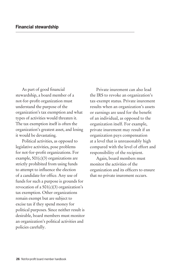As part of good financial stewardship, a board member of a not-for-profit organization must understand the purpose of the organization's tax exemption and what types of activities would threaten it. The tax exemption itself is often the organization's greatest asset, and losing it would be devastating.

 Political activities, as opposed to legislative activities, pose problems for not-for-profit organizations. For example,  $501(c)(3)$  organizations are strictly prohibited from using funds to attempt to influence the election of a candidate for office. Any use of funds for such a purpose is grounds for revocation of a  $501(c)(3)$  organization's tax exemption. Other organizations remain exempt but are subject to excise tax if they spend money for political purposes. Since neither result is desirable, board members must monitor an organization's political activities and policies carefully.

 Private inurement can also lead the IRS to revoke an organization's tax-exempt status. Private inurement results when an organization's assets or earnings are used for the benefit of an individual, as opposed to the organization itself. For example, private inurement may result if an organization pays compensation at a level that is unreasonably high compared with the level of effort and responsibility of the recipient.

 Again, board members must monitor the activities of the organization and its officers to ensure that no private inurement occurs.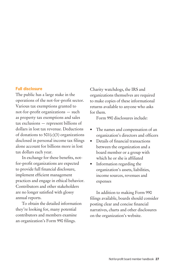#### **Full disclosure**

The public has a large stake in the operations of the not-for-profi t sector. Various tax exemptions granted to not-for-profit organizations - such as property tax exemptions and sales tax exclusions — represent billions of dollars in lost tax revenue. Deductions of donations to  $501(c)(3)$  organizations disclosed in personal income tax filings alone account for billions more in lost tax dollars each year.

In exchange for these benefits, notfor-profit organizations are expected to provide full financial disclosure, implement efficient management practices and engage in ethical behavior. Contributors and other stakeholders are no longer satisfied with glossy annual reports.

 To obtain the detailed information they're looking for, many potential contributors and members examine an organization's Form 990 filings.

Charity watchdogs, the IRS and organizations themselves are required to make copies of these informational returns available to anyone who asks for them.

Form 990 disclosures include:

- The names and compensation of an organization's directors and officers
- Details of financial transactions between the organization and a board member or a group with which he or she is affiliated
- Information regarding the organization's assets, liabilities, income sources, revenues and expenses

 In addition to making Form 990 filings available, boards should consider posting clear and concise financial narratives, charts and other disclosures on the organization's website.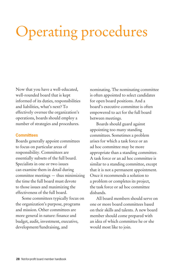# Operating procedures

Now that you have a well-educated, well-rounded board that is kept informed of its duties, responsibilities and liabilities, what's next? To effectively oversee the organization's operations, boards should employ a number of strategies and procedures.

#### **Committees**

Boards generally appoint committees to focus on particular areas of responsibility. Committees are essentially subsets of the full board. Specialists in one or two issues can examine them in detail during committee meetings — thus minimizing the time the full board must devote to those issues and maximizing the effectiveness of the full board.

 Some committees typically focus on the organization's purpose, programs and mission. Other committees are more general in nature: finance and budget, audit, investment, executive, development/fundraising, and

nominating. The nominating committee is often appointed to select candidates for open board positions. And a board's executive committee is often empowered to act for the full board between meetings.

 Boards should guard against appointing too many standing committees. Sometimes a problem arises for which a task force or an ad hoc committee may be more appropriate than a standing committee. A task force or an ad hoc committee is similar to a standing committee, except that it is not a permanent appointment. Once it recommends a solution to a problem or completes its project, the task force or ad hoc committee disbands.

 All board members should serve on one or more board committees based on their skills and talents. A new board member should come prepared with an idea of which committee he or she would most like to join.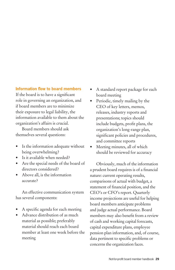## **Information flow to board members**

If the board is to have a significant role in governing an organization, and if board members are to minimize their exposure to legal liability, the information available to them about the organization's affairs is crucial.

 Board members should ask themselves several questions:

- Is the information adequate without being overwhelming?
- Is it available when needed?
- Are the special needs of the board of directors considered?
- Above all, is the information accurate?

 An effective communication system has several components:

- A specific agenda for each meeting
- Advance distribution of as much material as possible; preferably material should reach each board member at least one week before the meeting
- A standard report package for each board meeting
- Periodic, timely mailing by the CEO of key letters, memos, releases, industry reports and presentations; topics should include budgets, profit plans, the organization's long-range plan, significant policies and procedures, and committee reports
- Meeting minutes, all of which should be reviewed for accuracy

 Obviously, much of the information a prudent board requires is of a financial nature: current operating results, comparisons of actual with budget, a statement of financial position, and the CEO's or CFO's report. Quarterly income projections are useful for helping board members anticipate problems and judge actual performance. Board members may also benefit from a review of cash and working capital forecasts, capital expenditure plans, employee pension plan information, and, of course, data pertinent to specific problems or concerns the organization faces.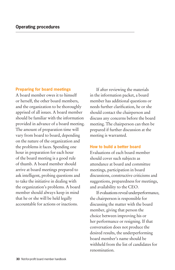#### **Preparing for board meetings**

A board member owes it to himself or herself, the other board members, and the organization to be thoroughly apprised of all issues. A board member should be familiar with the information provided in advance of a board meeting. The amount of preparation time will vary from board to board, depending on the nature of the organization and the problems it faces. Spending one hour in preparation for each hour of the board meeting is a good rule of thumb. A board member should arrive at board meetings prepared to ask intelligent, probing questions and to take the initiative in dealing with the organization's problems. A board member should always keep in mind that he or she will be held legally accountable for actions or inactions.

 If after reviewing the materials in the information packet, a board member has additional questions or needs further clarification, he or she should contact the chairperson and discuss any concerns before the board meeting. The chairperson can then be prepared if further discussion at the meeting is warranted.

#### **How to build a better board**

Evaluations of each board member should cover such subjects as attendance at board and committee meetings, participation in board discussions, constructive criticisms and suggestions, preparedness for meetings, and availability to the CEO.

 If evaluations reveal underperformance, the chairperson is responsible for discussing the matter with the board member, giving that person the choice between improving his or her performance or resigning. If that conversation does not produce the desired results, the underperforming board member's name should be withheld from the list of candidates for renomination.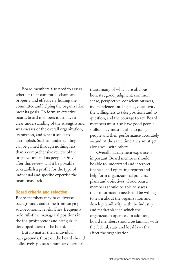Board members also need to assess whether their committee chairs are properly and effectively leading the committee and helping the organization meet its goals. To form an effective board, board members must have a clear understanding of the strengths and weaknesses of the overall organization, its mission, and what it seeks to accomplish. Such an understanding can be gained through nothing less than a comprehensive review of the organization and its people. Only after this review will it be possible to establish a profile for the type of individual and specific expertise the board may lack.

#### **Board criteria and selection**

Board members may have diverse backgrounds and come from varying socioeconomic levels. They frequently hold full-time managerial positions in the for-profit sector and bring skills developed there to the board.

 But no matter their individual backgrounds, those on the board should collectively possess a number of critical

traits, many of which are obvious: honesty, good judgment, common sense, perspective, conscientiousness, independence, intelligence, objectivity, the willingness to take positions and to question, and the courage to act. Board members must also have good people skills. They must be able to judge people and their performance accurately — and, at the same time, they must get along well with others.

 Overall management expertise is important. Board members should be able to understand and interpret financial and operating reports and help form organizational policies, plans and objectives. Good board members should be able to assess their information needs and be willing to learn about the organization and develop familiarity with the industry and marketplace in which the organization operates. In addition, board members should be familiar with the federal, state and local laws that affect the organization.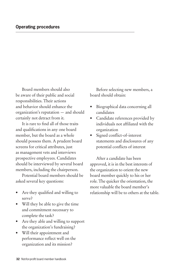Board members should also be aware of their public and social responsibilities. Their actions and behavior should enhance the organization's reputation — and should certainly not detract from it.

It is rare to find all of those traits and qualifications in any one board member, but the board as a whole should possess them. A prudent board screens for critical attributes, just as management vets and interviews prospective employees. Candidates should be interviewed by several board members, including the chairperson.

 Potential board members should be asked several key questions:

- Are they qualified and willing to serve?
- Will they be able to give the time and commitment necessary to complete the task?
- Are they able and willing to support the organization's fundraising?
- Will their appointment and performance reflect well on the organization and its mission?

 Before selecting new members, a board should obtain:

- Biographical data concerning all candidates
- Candidate references provided by individuals not affiliated with the organization
- Signed conflict-of-interest statements and disclosures of any potential conflicts of interest

 After a candidate has been approved, it is in the best interests of the organization to orient the new board member quickly to his or her role. The quicker the orientation, the more valuable the board member's relationship will be to others at the table.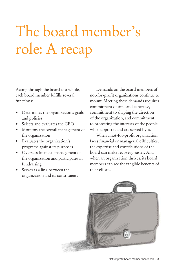# The board member's role: A recap

Acting through the board as a whole, each board member fulfills several functions:

- Determines the organization's goals and policies
- Selects and evaluates the CEO
- Monitors the overall management of the organization
- Evaluates the organization's programs against its purposes
- Oversees financial management of the organization and participates in fundraising
- Serves as a link between the organization and its constituents

 Demands on the board members of not-for-profi t organizations continue to mount. Meeting these demands requires commitment of time and expertise, commitment to shaping the direction of the organization, and commitment to protecting the interests of the people who support it and are served by it.

When a not-for-profit organization faces financial or managerial difficulties, the expertise and contributions of the board can make recovery easier. And when an organization thrives, its board members can see the tangible benefits of their efforts.

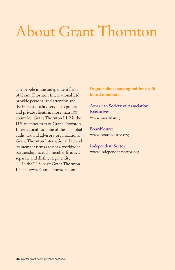# About Grant Thornton

The people in the independent firms of Grant Thornton International Ltd provide personalized attention and the highest quality service to public and private clients in more than 100 countries. Grant Thornton LLP is the U.S. member firm of Grant Thornton International Ltd, one of the six global audit, tax and advisory organizations. Grant Thornton International Ltd and its member firms are not a worldwide partnership, as each member firm is a separate and distinct legal entity.

 In the U. S., visit Grant Thornton LLP at www.GrantThornton.com.

**Organizations serving not-for-profit board members**

**American Society of Association Executives**  www.asaenet.org

**BoardSource**  www.boardsource.org

**Independent Sector**  www.independentsector.org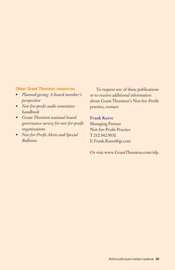## **Other Grant Thornton resources**

- *Planned giving: A board member's perspective*
- *Not-for-profi t audit committee handbook*
- *Grant Thornton national board governance survey for not-for-profi t organizations*
- *Not-for-Profi t Alerts and Special Bulletins*

 To request any of these publications or to receive additional information about Grant Thornton's Not-for-Profit practice, contact:

## **Frank Kurre**

Managing Partner Not-for-Profit Practice T 212.542.9530 E Frank.Kurre@gt.com

Or visit www.GrantThornton.com/nfp.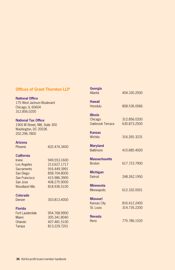### **Offices of Grant Thornton LLP**

#### **National Office**

175 West Jackson Boulevard Chicago, IL 60604 312.856.0200

#### **National Tax Office**

1900 M Street, NW, Suite 300 Washington, DC 20036 202.296.7800

#### **Arizona**

Phoenix 602.474.3400

#### **California**

| <b>Irvine</b>         | 949.553.1600 |
|-----------------------|--------------|
| Los Angeles           | 213.627.1717 |
| Sacramento            | 916.449.3991 |
| San Diego             | 858.704.8000 |
| San Francisco         | 415.986.3900 |
| San Jose              | 408.275.9000 |
| <b>Woodland Hills</b> | 818.936.5100 |
|                       |              |

#### **Colorado**

Denver 303.813.4000

#### **Florida**

| Fort Lauderdale | 954.768.9900 |
|-----------------|--------------|
| Miami           | 305.341.8040 |
| Orlando         | 407.481.5100 |
| Tampa           | 813.229.7201 |

| Georgia<br>Atlanta                                 | 404.330.2000                 |
|----------------------------------------------------|------------------------------|
| <b>Hawaii</b><br>Honolulu                          | 808.536.0066                 |
| <b>Illinois</b><br>Chicago<br>Oakbrook Terrace     | 312.856.0200<br>630.873.2500 |
| <b>Kansas</b><br>Wichita                           | 316.265.3231                 |
| <b>Maryland</b><br><b>Baltimore</b>                | 410.685.4000                 |
| <b>Massachusetts</b><br><b>Boston</b>              | 617.723.7900                 |
| <b>Michigan</b><br>Detroit                         | 248.262.1950                 |
| <b>Minnesota</b><br><b>Minneapolis</b>             | 612.332.0001                 |
| <b>Missouri</b><br><b>Kansas City</b><br>St. Louis | 816.412.2400<br>314.735.2200 |
| <b>Nevada</b><br>Reno                              | 775.786.1520                 |
|                                                    |                              |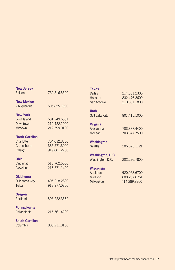| <b>New Jersey</b>     |              | <b>Texas</b>            |              |
|-----------------------|--------------|-------------------------|--------------|
| Edison                | 732.516.5500 | <b>Dallas</b>           | 214.561.2300 |
|                       |              | Houston                 | 832.476.3600 |
| <b>New Mexico</b>     |              | San Antonio             | 210.881.1800 |
| Albuquerque           | 505.855.7900 |                         |              |
|                       |              | <b>Utah</b>             |              |
| <b>New York</b>       |              | <b>Salt Lake City</b>   | 801.415.1000 |
| Long Island           | 631.249.6001 |                         |              |
| Downtown              | 212.422.1000 | <b>Virginia</b>         |              |
| Midtown               | 212.599.0100 | Alexandria              | 703.837.4400 |
|                       |              | McLean                  | 703.847.7500 |
| <b>North Carolina</b> |              |                         |              |
| Charlotte             | 704.632.3500 | <b>Washington</b>       |              |
| Greensboro            | 336.271.3900 | Seattle                 | 206.623.1121 |
| Raleigh               | 919.881.2700 |                         |              |
|                       |              | <b>Washington, D.C.</b> |              |
| <b>Ohio</b>           |              | Washington, D.C.        | 202.296.7800 |
| Cincinnati            | 513.762.5000 |                         |              |
| Cleveland             | 216.771.1400 | <b>Wisconsin</b>        |              |
|                       |              | Appleton                | 920,968,6700 |
| <b>Oklahoma</b>       |              | Madison                 | 608.257.6761 |
| Oklahoma City         | 405.218.2800 | Milwaukee               | 414.289.8200 |
| Tulsa                 | 918.877.0800 |                         |              |
|                       |              |                         |              |
| <b>Oregon</b>         |              |                         |              |
| Portland              | 503.222.3562 |                         |              |
|                       |              |                         |              |
| Pennsylvania          |              |                         |              |
| Philadelphia          | 215.561.4200 |                         |              |
|                       |              |                         |              |
| <b>South Carolina</b> |              |                         |              |
| Columbia              | 803.231.3100 |                         |              |